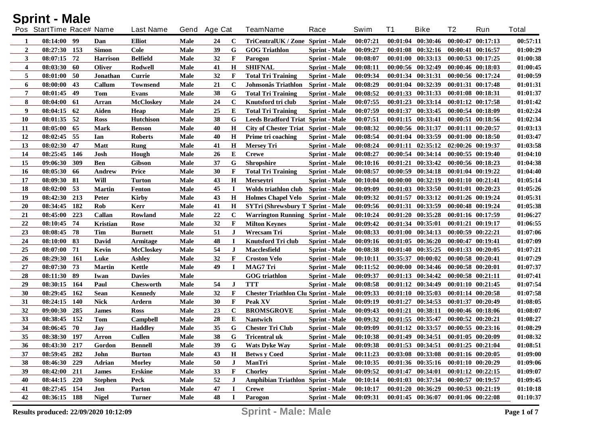| <b>Sprint - Male</b> |  |
|----------------------|--|
|----------------------|--|

|    | Pos StartTime Race# Name |            |                 | <b>Last Name</b> | Gend | <b>Age Cat</b> |             | <b>TeamName</b>                            | Race                 | Swim     | <b>T1</b> | <b>Bike</b>                                 | T <sub>2</sub>        | Run                   | <b>Total</b> |
|----|--------------------------|------------|-----------------|------------------|------|----------------|-------------|--------------------------------------------|----------------------|----------|-----------|---------------------------------------------|-----------------------|-----------------------|--------------|
| 1  | 08:14:00 99              |            | Dan             | <b>Elliot</b>    | Male | 24             | C           | TriCentralUK / Zone Sprint - Male          |                      | 00:07:21 |           | $00:01:04$ $00:30:46$                       | $00:00:47$ $00:17:13$ |                       | 00:57:11     |
| 2  | 08:27:30 153             |            | <b>Simon</b>    | Cole             | Male | 39             | G           | <b>GOG Triathlon</b>                       | <b>Sprint</b> - Male | 00:09:27 |           | $00:01:08$ $00:32:16$ $00:00:41$ $00:16:57$ |                       |                       | 01:00:29     |
| 3  | 08:07:15                 | 72         | <b>Harrison</b> | <b>Belfield</b>  | Male | 32             | F           | Parogon                                    | <b>Sprint</b> - Male | 00:08:07 |           | $00:01:00$ $00:33:13$                       | $00:00:53$ $00:17:25$ |                       | 01:00:38     |
| 4  | 08:03:30 60              |            | <b>Oliver</b>   | Rodwell          | Male | 41             | H           | <b>SHIFNAL</b>                             | <b>Sprint</b> - Male | 00:08:11 |           | 00:00:56 00:32:49                           | 00:00:46 00:18:03     |                       | 01:00:45     |
| 5  | $08:01:00$ 50            |            | Jonathan        | Currie           | Male | 32             | F           | <b>Total Tri Training</b>                  | <b>Sprint</b> - Male | 00:09:34 |           | 00:01:34 00:31:31                           | 00:00:56 00:17:24     |                       | 01:00:59     |
| 6  | 08:00:00                 | 43         | Callum          | <b>Townsend</b>  | Male | 21             | $\mathbf C$ | Johnsonâs Triathlon                        | <b>Sprint - Male</b> | 00:08:29 |           | 00:01:04 00:32:39                           | 00:01:31 00:17:48     |                       | 01:01:31     |
| 7  | 08:01:45                 | 49         | Tom             | Evans            | Male | 38             | G           | <b>Total Tri Training</b>                  | <b>Sprint</b> - Male | 00:08:52 |           | 00:01:33 00:31:33                           | 00:01:08 00:18:31     |                       | 01:01:37     |
| 8  | 08:04:00                 | -61        | Arran           | <b>McCloskey</b> | Male | 24             | $\mathbf C$ | Knutsford tri club                         | <b>Sprint</b> - Male | 00:07:55 |           | $00:01:23$ $00:33:14$                       | $00:01:12$ $00:17:58$ |                       | 01:01:42     |
| 9  | 08:04:15                 | -62        | Aiden           | Heap             | Male | 25             | Е           | <b>Total Tri Training</b>                  | <b>Sprint</b> - Male | 00:07:59 |           | 00:01:37 00:33:45                           | 00:00:54 00:18:09     |                       | 01:02:24     |
| 10 | 08:01:35 52              |            | <b>Ross</b>     | <b>Hutchison</b> | Male | 38             | G           | <b>Leeds Bradford Triat Sprint - Male</b>  |                      | 00:07:51 |           | $00:01:15$ $00:33:41$                       | 00:00:51 00:18:56     |                       | 01:02:34     |
| 11 | 08:05:00                 | -65        | Mark            | <b>Benson</b>    | Male | 40             | $\bf H$     | <b>City of Chester Triat Sprint - Male</b> |                      | 00:08:32 |           | 00:00:56 00:31:37                           | 00:01:11 00:20:57     |                       | 01:03:13     |
| 12 | 08:02:45                 | 55         | Ian             | <b>Roberts</b>   | Male | 40             | Н           | Prime tri coaching                         | <b>Sprint</b> - Male | 00:08:54 |           | 00:01:04 00:33:59                           | $00:01:00$ $00:18:50$ |                       | 01:03:47     |
| 13 | 08:02:30                 | 47         | <b>Matt</b>     | Rung             | Male | 41             | H           | <b>Mersey Tri</b>                          | <b>Sprint</b> - Male | 00:08:24 | 00:01:11  | 02:35:12                                    | 02:00:26 00:19:37     |                       | 01:03:58     |
| 14 | 08:25:45                 | 146        | Josh            | Hough            | Male | 26             | E           | <b>Crewe</b>                               | <b>Sprint</b> - Male | 00:08:27 |           | $00:00:54$ $00:34:14$                       | $00:00:55$ $00:19:40$ |                       | 01:04:10     |
| 15 | 09:06:30                 | 309        | <b>Ben</b>      | <b>Gibson</b>    | Male | 37             | G           | <b>Shropshire</b>                          | <b>Sprint</b> - Male | 00:10:16 | 00:01:21  | 00:33:42                                    | 00:00:56 00:18:23     |                       | 01:04:38     |
| 16 | 08:05:30                 | -66        | Andrew          | Price            | Male | 30             | F           | <b>Total Tri Training</b>                  | <b>Sprint</b> - Male | 00:08:57 | 00:00:59  | 00:34:18                                    | $00:01:04$ $00:19:22$ |                       | 01:04:40     |
| 17 | 08:09:30                 | -81        | Will            | <b>Turton</b>    | Male | 43             | Н           | <b>Mersevtri</b>                           | <b>Sprint</b> - Male | 00:10:04 | 00:00:00  | 00:32:19                                    | $00:01:10$ $00:21:41$ |                       | 01:05:14     |
| 18 | 08:02:00                 | 53         | <b>Martin</b>   | <b>Fenton</b>    | Male | 45             | $\mathbf I$ | Wolds triathlon club                       | <b>Sprint - Male</b> | 00:09:09 |           | $00:01:03$ $00:33:50$                       |                       | $00:01:01$ $00:20:23$ | 01:05:26     |
| 19 | 08:42:30                 | 213        | <b>Peter</b>    | Kirby            | Male | 43             | Н           | <b>Holmes Chapel Velo</b>                  | <b>Sprint</b> - Male | 00:09:32 | 00:01:57  | 00:33:12                                    | $00:01:26$ $00:19:24$ |                       | 01:05:31     |
| 20 | 08:34:45                 | 182        | Rob             | Kerr             | Male | 41             | H           | <b>SYTri (Shrewsbury T Sprint - Male</b> ) |                      | 00:09:56 | 00:01:31  | 00:33:59                                    |                       | $00:00:48$ $00:19:24$ | 01:05:38     |
| 21 | 08:45:00                 | 223        | Callan          | Rowland          | Male | 22             | $\mathbf C$ | <b>Warrington Running Sprint - Male</b>    |                      | 00:10:24 | 00:01:20  | 00:35:28                                    |                       | 00:01:16 00:17:59     | 01:06:27     |
| 22 | 08:10:45                 | 74         | <b>Kristian</b> | Rose             | Male | 32             | F           | <b>Milton Keynes</b>                       | <b>Sprint</b> - Male | 00:09:42 |           | $00:01:34$ $00:35:01$                       |                       | $00:01:21$ $00:19:17$ | 01:06:55     |
| 23 | 08:08:45                 | -78        | Tim             | <b>Burnett</b>   | Male | 51             | J           | Wrecsam Tri                                | <b>Sprint - Male</b> | 00:08:33 | 00:01:00  | 00:34:13                                    | 00:00:59 00:22:21     |                       | 01:07:06     |
| 24 | 08:10:00                 | 83         | David           | Armitage         | Male | 48             | $\mathbf I$ | Knutsford Tri club                         | <b>Sprint</b> - Male | 00:09:16 | 00:01:05  | 00:36:20                                    | 00:00:47 00:19:41     |                       | 01:07:09     |
| 25 | 08:07:00                 | 71         | Kevin           | <b>McCloskev</b> | Male | 54             | J           | Macclesfield                               | <b>Sprint</b> - Male | 00:08:38 |           | $00:01:40$ $00:35:25$                       |                       | $00:01:33$ $00:20:05$ | 01:07:21     |
| 26 | 08:29:30                 | 161        | Luke            | <b>Ashley</b>    | Male | 32             | F           | <b>Croston Velo</b>                        | <b>Sprint</b> - Male | 00:10:11 | 00:35:37  | 00:00:02                                    | 00:00:58 00:20:41     |                       | 01:07:29     |
| 27 | 08:07:30                 | 73         | <b>Martin</b>   | Kettle           | Male | 49             |             | MAG7 Tri                                   | <b>Sprint</b> - Male | 00:11:52 | 00:00:00  | 00:34:46                                    | 00:00:58 00:20:01     |                       | 01:07:37     |
| 28 | 08:11:30 89              |            | Iwan            | <b>Davies</b>    | Male |                |             | <b>GOG</b> triathlon                       | <b>Sprint</b> - Male | 00:09:37 |           | $00:01:13$ $00:34:42$                       | 00:00:58 00:21:11     |                       | 01:07:41     |
| 29 | 08:30:15                 | 164        | Paul            | <b>Chesworth</b> | Male | 54             | J           | <b>TTT</b>                                 | <b>Sprint</b> - Male | 00:08:58 |           | $00:01:12$ $00:34:49$                       |                       | $00:01:10$ $00:21:45$ | 01:07:54     |
| 30 | 08:29:45                 | 162        | Sean            | Kennedy          | Male | 32             | F           | <b>Chester Triathlon Clu Sprint - Male</b> |                      | 00:09:33 |           | $00:01:10$ $00:35:03$                       |                       | $00:01:14$ $00:20:58$ | 01:07:58     |
| 31 | 08:24:15                 | <b>140</b> | <b>Nick</b>     | Ardern           | Male | 30             | F           | Peak XV                                    | <b>Sprint</b> - Male | 00:09:19 | 00:01:27  | 00:34:53                                    | 00:01:37 00:20:49     |                       | 01:08:05     |
| 32 | 09:00:30                 | 285        | <b>James</b>    | <b>Ross</b>      | Male | 23             | $\mathbf C$ | <b>BROMSGROVE</b>                          | <b>Sprint</b> - Male | 00:09:43 | 00:01:21  | 00:38:11                                    |                       | 00:00:46 00:18:06     | 01:08:07     |
| 33 | 08:38:45                 | 152        | Tom             | Campbell         | Male | 28             | Е           | <b>Nantwich</b>                            | <b>Sprint</b> - Male | 00:09:32 |           | 00:01:55 00:35:47                           | 00:00:52 00:20:21     |                       | 01:08:27     |
| 34 | 08:06:45                 | 70         | Jav             | <b>Haddley</b>   | Male | 35             | G           | <b>Chester Tri Club</b>                    | <b>Sprint - Male</b> | 00:09:09 |           | 00:01:12 00:33:57                           |                       | $00:00:55$ $00:23:16$ | 01:08:29     |
| 35 | 08:38:30                 | 197        | Arron           | <b>Cullen</b>    | Male | 38             | G           | <b>Tricentral uk</b>                       | <b>Sprint - Male</b> | 00:10:38 |           | $00:01:49$ $00:34:51$                       | 00:01:05 00:20:09     |                       | 01:08:32     |
| 36 | 08:43:30 217             |            | Gordon          | <b>Bennell</b>   | Male | 39             | G           | <b>Wats Dyke Way</b>                       | <b>Sprint - Male</b> | 00:09:38 |           | $00:01:53$ $00:34:51$                       | $00:01:25$ $00:21:04$ |                       | 01:08:51     |
| 37 | 08:59:45 282             |            | John            | <b>Burton</b>    | Male | 43             | $\bf{H}$    | <b>Betws y Coed</b>                        | <b>Sprint - Male</b> | 00:11:23 |           | 00:03:08 00:33:08 00:01:16 00:20:05         |                       |                       | 01:09:00     |
| 38 | 08:46:30 229             |            | Adrian          | <b>Morley</b>    | Male | 50             | $\bf J$     | ManTri                                     | <b>Sprint - Male</b> | 00:10:35 |           | $00:01:36$ $00:35:16$                       | $00:01:10$ $00:20:29$ |                       | 01:09:06     |
| 39 | 08:42:00 211             |            | <b>James</b>    | <b>Erskine</b>   | Male | 33             | F           | <b>Chorley</b>                             | <b>Sprint - Male</b> | 00:09:52 |           | $00:01:47$ $00:34:01$                       | $00:01:12$ $00:22:15$ |                       | 01:09:07     |
| 40 | 08:44:15 220             |            | <b>Stephen</b>  | Peck             | Male | 52             | J           | Amphibian Triathlon Sprint - Male          |                      | 00:10:14 |           | 00:01:03 00:37:34                           | 00:00:57 00:19:57     |                       | 01:09:45     |
| 41 | 08:27:45 154             |            | Jon             | <b>Parton</b>    | Male | 47             | I           | <b>Crewe</b>                               | <b>Sprint - Male</b> | 00:10:17 |           | $00:01:20$ $00:36:29$                       | 00:00:53 00:21:19     |                       | 01:10:18     |
| 42 | 08:36:15 188             |            | <b>Nigel</b>    | <b>Turner</b>    | Male | 48             | $\bf I$     | Parogon                                    | <b>Sprint - Male</b> | 00:09:31 |           | $00:01:45$ $00:36:07$ $00:01:06$ $00:22:08$ |                       |                       | 01:10:37     |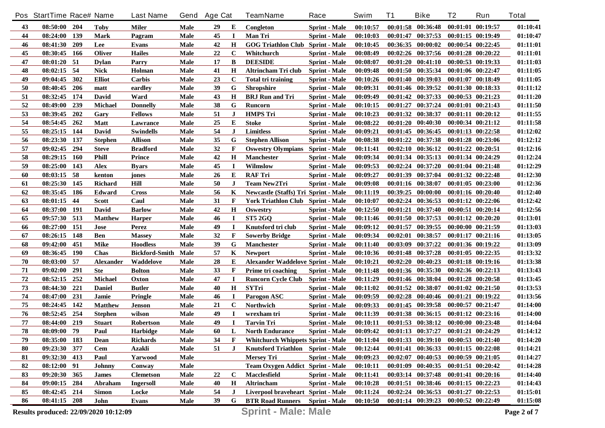|    | Pos StartTime Race# Name              |            |                | <b>Last Name</b>      | Gend | <b>Age Cat</b> |             | <b>TeamName</b>                             | Race                 | Swim     | T1 | <b>Bike</b>                         | T <sub>2</sub>        | Run                   | <b>Total</b> |
|----|---------------------------------------|------------|----------------|-----------------------|------|----------------|-------------|---------------------------------------------|----------------------|----------|----|-------------------------------------|-----------------------|-----------------------|--------------|
| 43 | 08:50:00 204                          |            | <b>Toby</b>    | Miler                 | Male | 29             | Е           | Congleton                                   | <b>Sprint</b> - Male | 00:10:57 |    | $00:01:58$ $00:36:48$               | 00:01:01 00:19:57     |                       | 01:10:41     |
| 44 | 08:24:00                              | 139        | <b>Mark</b>    | Pagram                | Male | 45             | $\bf{I}$    | <b>Man Tri</b>                              | <b>Sprint</b> - Male | 00:10:03 |    | $00:01:47$ $00:37:53$               | $00:01:15$ $00:19:49$ |                       | 01:10:47     |
| 46 | 08:41:30                              | 209        | <b>Lee</b>     | <b>Evans</b>          | Male | 42             | $\bf H$     | <b>GOG Triathlon Club Sprint - Male</b>     |                      | 00:10:45 |    | $00:36:35$ $00:00:02$               | $00:00:54$ $00:22:45$ |                       | 01:11:01     |
| 45 | 08:30:45                              | 166        | <b>Oliver</b>  | <b>Hailes</b>         | Male | 22             | C           | Whitchurch                                  | <b>Sprint</b> - Male | 00:08:49 |    | $00:02:26$ $00:37:56$               | $00:01:28$ $00:20:22$ |                       | 01:11:01     |
| 47 | 08:01:20 51                           |            | <b>Dylan</b>   | Parry                 | Male | 17             | B           | <b>DEESIDE</b>                              | <b>Sprint</b> - Male | 00:08:07 |    | $00:01:20$ $00:41:10$               | 00:00:53 00:19:33     |                       | 01:11:03     |
| 48 | 08:02:15                              | -54        | <b>Nick</b>    | Holman                | Male | 41             | H           | Altrincham Tri club                         | <b>Sprint</b> - Male | 00:09:48 |    | 00:01:50 00:35:34                   | $00:01:06$ $00:22:47$ |                       | 01:11:05     |
| 49 | 09:04:45                              | 302        | <b>Elliot</b>  | Carbis                | Male | 23             | $\mathbf c$ | <b>Total tri training</b>                   | <b>Sprint</b> - Male | 00:10:26 |    | 00:01:40 00:39:03                   | 00:01:07 00:18:49     |                       | 01:11:05     |
| 50 | 08:40:45                              | 206        | matt           | eardley               | Male | 39             | G           | <b>Shropshire</b>                           | <b>Sprint</b> - Male | 00:09:31 |    | 00:01:46 00:39:52                   | 00:01:30 00:18:33     |                       | 01:11:12     |
| 51 | 08:32:45                              | 174        | David          | Ward                  | Male | 43             | $\bf H$     | <b>BRJ</b> Run and Tri                      | <b>Sprint</b> - Male | 00:09:49 |    | 00:01:42 00:37:33                   | $00:00:53$ $00:21:23$ |                       | 01:11:20     |
| 52 | 08:49:00                              | 239        | <b>Michael</b> | Donnelly              | Male | 38             | G           | Runcorn                                     | <b>Sprint</b> - Male | 00:10:15 |    | 00:01:27 00:37:24                   | $00:01:01$ $00:21:43$ |                       | 01:11:50     |
| 53 | 08:39:45                              | 202        | Gary           | <b>Fellows</b>        | Male | 51             | J           | <b>HMPS Tri</b>                             | <b>Sprint</b> - Male | 00:10:23 |    | 00:01:32 00:38:37                   | $00:01:11$ $00:20:12$ |                       | 01:11:55     |
| 54 | 08:54:45                              | 262        | <b>Matt</b>    | Lawrance              | Male | 25             | Е           | <b>Stoke</b>                                | <b>Sprint</b> - Male | 00:08:22 |    | $00:01:20$ $00:40:30$               | 00:00:34 00:21:12     |                       | 01:11:58     |
| 55 | 08:25:15                              | 144        | David          | <b>Swindells</b>      | Male | 54             | $\bf J$     | <b>Limitless</b>                            | <b>Sprint</b> - Male | 00:09:21 |    | $00:01:45$ $00:36:45$               | $00:01:13$ $00:22:58$ |                       | 01:12:02     |
| 56 | 08:23:30                              | 137        | <b>Stephen</b> | <b>Allison</b>        | Male | 35             | G           | <b>Stephen Allison</b>                      | <b>Sprint</b> - Male | 00:08:38 |    | 00:01:22 00:37:38                   |                       | $00:01:28$ $00:23:06$ | 01:12:12     |
| 57 | 09:02:45                              | 294        | <b>Steve</b>   | <b>Bradford</b>       | Male | 32             | F           | <b>Oswestry Olympians</b> Sprint - Male     |                      | 00:11:41 |    | $00:02:10$ $00:36:12$               | $00:01:22$ $00:20:51$ |                       | 01:12:16     |
| 58 | 08:29:15                              | <b>160</b> | <b>Phill</b>   | <b>Prince</b>         | Male | 42             | $\mathbf H$ | <b>Manchester</b>                           | <b>Sprint</b> - Male | 00:09:34 |    | $00:01:34$ $00:35:13$               |                       | $00:01:34$ $00:24:29$ | 01:12:24     |
| 59 | 08:25:00                              | 143        | Alex           | <b>Byars</b>          | Male | 45             | П           | Wilmslow                                    | <b>Sprint</b> - Male | 00:09:53 |    | $00:02:24$ $00:37:20$               |                       | $00:01:04$ $00:21:48$ | 01:12:29     |
| 60 | 08:03:15                              | - 58       | kenton         | jones                 | Male | 26             | E           | <b>RAF Tri</b>                              | <b>Sprint</b> - Male | 00:09:27 |    | 00:01:39 00:37:04                   | $00:01:32$ $00:22:48$ |                       | 01:12:30     |
| 61 | 08:25:30                              | 145        | Richard        | Hill                  | Male | 50             | J           | <b>Team New2Tri</b>                         | <b>Sprint</b> - Male | 00:09:08 |    | 00:01:16 00:38:07                   |                       | $00:01:05$ $00:23:00$ | 01:12:36     |
| 62 | 08:35:45                              | 186        | Edward         | <b>Cross</b>          | Male | 56             | K           | <b>Newcastle (Staffs) Tri Sprint - Male</b> |                      | 00:11:19 |    | $00:39:25$ $00:00:00$               |                       | 00:01:16 00:20:40     | 01:12:40     |
| 63 | 08:01:15                              | 44         | Scott          | Caul                  | Male | 31             | F           | York Triathlon Club Sprint - Male           |                      | 00:10:07 |    | $00:02:24$ $00:36:53$               |                       | $00:01:12$ $00:22:06$ | 01:12:42     |
| 64 | 08:37:00                              | -191       | David          | <b>Barlow</b>         | Male | 42             | H           | <b>Oswestry</b>                             | <b>Sprint</b> - Male | 00:12:50 |    | 00:01:21 00:37:40                   |                       | $00:00:51$ $00:20:14$ | 01:12:56     |
| 65 | 09:57:30                              | 513        | <b>Matthew</b> | <b>Harper</b>         | Male | 46             | $\mathbf I$ | <b>ST5 2GO</b>                              | <b>Sprint</b> - Male | 00:11:46 |    | 00:01:50 00:37:53                   |                       | $00:01:12$ $00:20:20$ | 01:13:01     |
| 66 | 08:27:00                              | 151        | Jose           | Perez                 | Male | 49             |             | Knutsford tri club                          | <b>Sprint</b> - Male | 00:09:12 |    | $00:01:57$ $00:39:55$               |                       | 00:00:00 00:21:59     | 01:13:03     |
| 67 | 08:26:15                              | 148        | Ben            | <b>Massey</b>         | Male | 32             | $\mathbf F$ | Sowerby Bridge                              | <b>Sprint</b> - Male | 00:09:34 |    | $00:02:01$ $00:38:57$               |                       | $00:01:17$ $00:21:16$ | 01:13:05     |
| 68 | 09:42:00                              | 451        | Mike           | <b>Hoodless</b>       | Male | 39             | G           | <b>Manchester</b>                           | <b>Sprint</b> - Male | 00:11:40 |    | 00:03:09 00:37:22                   |                       | 00:01:36 00:19:22     | 01:13:09     |
| 69 | 08:36:45                              | 190        | Chas           | <b>Bickford-Smith</b> | Male | 57             | K           | <b>Newport</b>                              | <b>Sprint</b> - Male | 00:10:36 |    | $00:01:48$ $00:37:28$               |                       | $00:01:05$ $00:22:35$ | 01:13:32     |
| 70 | 08:03:00                              | 57         | Alexander      | Waddelove             | Male | 28             | Е           | <b>Alexander Waddelove Sprint - Male</b>    |                      | 00:10:21 |    | $00:02:20$ $00:40:23$               |                       | 00:01:18 00:19:16     | 01:13:38     |
| 71 | 09:02:00                              | 291        | <b>Ste</b>     | <b>Bolton</b>         | Male | 33             | F           | Prime tri coaching                          | <b>Sprint</b> - Male | 00:11:48 |    | $00:01:36$ $00:35:30$               | $00:02:36$ $00:22:13$ |                       | 01:13:43     |
| 72 | 08:52:15                              | 252        | <b>Michael</b> | Oxton                 | Male | 47             | $\bf{I}$    | <b>Runcorn Cycle Club</b>                   | <b>Sprint - Male</b> | 00:11:29 |    | 00:01:46 00:38:04                   | $00:01:28$ $00:20:58$ |                       | 01:13:45     |
| 73 | 08:44:30                              | 221        | <b>Daniel</b>  | <b>Butler</b>         | Male | 40             | H           | <b>SYTri</b>                                | <b>Sprint</b> - Male | 00:11:02 |    | $00:01:52$ $00:38:07$               |                       | $00:01:02$ $00:21:50$ | 01:13:53     |
| 74 | 08:47:00                              | 231        | Jamie          | Pringle               | Male | 46             | $\bf{I}$    | Parogon ASC                                 | <b>Sprint</b> - Male | 00:09:59 |    | $00:02:28$ $00:40:46$               | $00:01:21$ $00:19:22$ |                       | 01:13:56     |
| 75 | 08:24:45                              | 142        | <b>Matthew</b> | <b>Jenson</b>         | Male | 21             | $\mathbf C$ | Northwich                                   | <b>Sprint</b> - Male | 00:09:33 |    | $00:01:45$ $00:39:58$               | 00:00:57 00:21:47     |                       | 01:14:00     |
| 76 | 08:52:45                              | 254        | <b>Stephen</b> | wilson                | Male | 49             | $\bf{I}$    | wrexham tri                                 | <b>Sprint</b> - Male | 00:11:39 |    | 00:01:38 00:36:15                   | 00:01:12 00:23:16     |                       | 01:14:00     |
| 77 | 08:44:00                              | 219        | <b>Stuart</b>  | Robertson             | Male | 49             | <b>I</b>    | <b>Tarvin Tri</b>                           | <b>Sprint</b> - Male | 00:10:11 |    | $00:01:53$ $00:38:12$               | $00:00:00$ $00:23:48$ |                       | 01:14:04     |
| 78 | 08:09:00                              | 79         | Paul           | <b>Harbidge</b>       | Male | 60             | L           | <b>North Endurance</b>                      | <b>Sprint - Male</b> | 00:09:42 |    | 00:01:13 00:37:27 00:01:21 00:24:29 |                       |                       | 01:14:12     |
| 79 | 08:35:00 183                          |            | Dean           | <b>Richards</b>       | Male | 34             | F           | <b>Whitchurch Whippets Sprint - Male</b>    |                      | 00:11:04 |    | 00:01:33 00:39:10 00:00:53 00:21:40 |                       |                       | 01:14:20     |
| 80 | 09:23:30 377                          |            | Cem            | <b>Azakli</b>         | Male | 51             | $\bf J$     | Knutsford Triathlon Sprint - Male           |                      | 00:12:44 |    | $00:01:41$ $00:36:33$               | $00:01:15$ $00:22:08$ |                       | 01:14:21     |
| 81 | 09:32:30 413                          |            | Paul           | Yarwood               | Male |                |             | <b>Mersey Tri</b>                           | <b>Sprint</b> - Male | 00:09:23 |    | $00:02:07$ $00:40:53$               | 00:00:59 00:21:05     |                       | 01:14:27     |
| 82 | 08:12:00 91                           |            | <b>Johnny</b>  | Conway                | Male |                |             | Team Oxygen Addict Sprint - Male            |                      | 00:10:11 |    | 00:01:09 00:40:35                   | 00:01:51 00:20:42     |                       | 01:14:28     |
| 83 | 09:20:30 365                          |            | <b>James</b>   | <b>Clemetson</b>      | Male | 22             | $\mathbf C$ | Macclesfield                                | <b>Sprint</b> - Male | 00:11:41 |    | $00:03:14$ $00:37:48$               | 00:01:41 00:20:16     |                       | 01:14:40     |
| 84 | 09:00:15 284                          |            | Abraham        | <b>Ingersoll</b>      | Male | 40             | $\mathbf H$ | Altrincham                                  | <b>Sprint</b> - Male | 00:10:28 |    | 00:01:51 00:38:46                   | $00:01:15$ $00:22:23$ |                       | 01:14:43     |
| 85 | 08:42:45 214                          |            | <b>Simon</b>   | Locke                 | Male | 54             | J           | Liverpool braveheart Sprint - Male          |                      | 00:11:24 |    | $00:02:24$ $00:36:53$               | $00:01:27$ $00:22:53$ |                       | 01:15:01     |
| 86 | 08:41:15 208                          |            | John           | Evans                 | Male | 39             | G           | <b>BTR Road Runners</b> Sprint - Male       |                      | 00:10:50 |    | $00:01:14$ $00:39:23$               | 00:00:52 00:22:49     |                       | 01:15:08     |
|    | Results produced: 22/09/2020 10:12:09 |            |                |                       |      |                |             | <b>Sprint - Male: Male</b>                  |                      |          |    |                                     |                       |                       | Page 2 of 7  |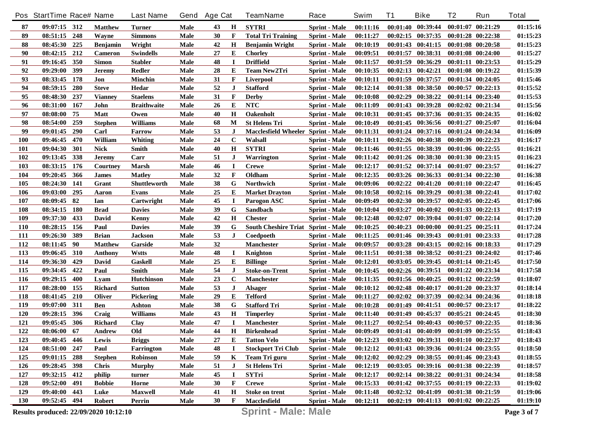|            | Pos StartTime Race# Name              |     |                 | <b>Last Name</b>    | Gend | <b>Age Cat</b> |             | <b>TeamName</b>                           | Race                 | Swim     | T1       | <b>Bike</b>                                 | T2                    | Run                   | <b>Total</b> |
|------------|---------------------------------------|-----|-----------------|---------------------|------|----------------|-------------|-------------------------------------------|----------------------|----------|----------|---------------------------------------------|-----------------------|-----------------------|--------------|
| 87         | $09:07:15$ 312                        |     | <b>Matthew</b>  | Turner              | Male | 43             | H           | <b>SYTRI</b>                              | <b>Sprint</b> - Male | 00:11:16 |          | $00:01:40$ $00:39:44$                       |                       | $00:01:07$ $00:21:29$ | 01:15:16     |
| 89         | 08:51:15                              | 248 | Wayne           | <b>Simmons</b>      | Male | 30             | F           | <b>Total Tri Training</b>                 | <b>Sprint</b> - Male | 00:11:27 |          | $00:02:15$ $00:37:35$                       |                       | $00:01:28$ $00:22:38$ | 01:15:23     |
| 88         | 08:45:30                              | 225 | <b>Benjamin</b> | Wright              | Male | 42             | $\mathbf H$ | <b>Benjamin Wright</b>                    | <b>Sprint</b> - Male | 00:10:19 |          | $00:01:43$ $00:41:15$                       |                       | $00:01:08$ $00:20:58$ | 01:15:23     |
| 90         | 08:42:15                              | 212 | <b>Cameron</b>  | <b>Swindells</b>    | Male | 27             | Е           | <b>Chorley</b>                            | <b>Sprint</b> - Male | 00:09:51 |          | 00:01:57 00:38:31                           |                       | 00:01:08 00:24:00     | 01:15:27     |
| 91         | 09:16:45                              | 350 | <b>Simon</b>    | <b>Stabler</b>      | Male | 48             | I           | <b>Driffield</b>                          | <b>Sprint - Male</b> | 00:11:57 |          | 00:01:59 00:36:29                           |                       | $00:01:11$ $00:23:53$ | 01:15:29     |
| 92         | 09:29:00                              | 399 | Jeremv          | <b>Redler</b>       | Male | 28             | E           | <b>Team New2Tri</b>                       | <b>Sprint</b> - Male | 00:10:35 |          | $00:02:13$ $00:42:21$                       |                       | $00:01:08$ $00:19:22$ | 01:15:39     |
| 93         | 08:33:45                              | 178 | Jon             | <b>Minchin</b>      | Male | 31             | F           | <b>Liverpool</b>                          | <b>Sprint</b> - Male | 00:10:11 |          | 00:01:59 00:37:57                           |                       | 00:01:34 00:24:05     | 01:15:46     |
| 94         | 08:59:15                              | 280 | <b>Steve</b>    | Hedar               | Male | 52             | J           | <b>Stafford</b>                           | <b>Sprint</b> - Male | 00:12:14 |          | 00:01:38 00:38:50                           |                       | $00:00:57$ $00:22:13$ | 01:15:52     |
| 95         | 08:48:30                              | 237 | <b>Vianney</b>  | <b>Staelens</b>     | Male | 31             | F           | <b>Derby</b>                              | <b>Sprint</b> - Male | 00:10:08 |          | 00:02:29 00:38:22                           |                       | $00:01:14$ $00:23:40$ | 01:15:53     |
| 96         | 08:31:00                              | 167 | John            | <b>Braithwaite</b>  | Male | 26             | E           | <b>NTC</b>                                | <b>Sprint</b> - Male | 00:11:09 |          | 00:01:43 00:39:28                           |                       | $00:02:02$ $00:21:34$ | 01:15:56     |
| 97         | 08:08:00                              | 75  | <b>Matt</b>     | Owen                | Male | 40             | $\mathbf H$ | <b>Oakenholt</b>                          | <b>Sprint</b> - Male | 00:10:31 |          | 00:01:45 00:37:36                           |                       | $00:01:35$ $00:24:35$ | 01:16:02     |
| 98         | 08:54:00                              | 259 | <b>Stephen</b>  | Williams            | Male | 68             | M           | <b>St Helens Tri</b>                      | <b>Sprint</b> - Male | 00:10:49 |          | $00:01:45$ $00:36:56$                       |                       | $00:01:27$ $00:25:07$ | 01:16:04     |
| 99         | 09:01:45                              | 290 | Carl            | Farrow              | Male | 53             | J           | <b>Macclesfield Wheeler Sprint - Male</b> |                      | 00:11:31 |          | $00:01:24$ $00:37:16$                       |                       | $00:01:24$ $00:24:34$ | 01:16:09     |
| 100        | 09:46:45                              | 470 | William         | <b>Whiting</b>      | Male | 24             | $\mathbf C$ | Walsall                                   | Sprint - Male        | 00:10:11 |          | $00:02:26$ $00:40:38$                       |                       | 00:00:39 00:22:23     | 01:16:17     |
| 101        | 09:04:30                              | 301 | <b>Nick</b>     | Smith               | Male | 40             | H           | <b>SYTRI</b>                              | <b>Sprint</b> - Male | 00:11:46 |          | 00:01:55 00:38:39                           |                       | $00:01:06$ $00:22:55$ | 01:16:21     |
| 102        | 09:13:45                              | 338 | Jeremv          | Carr                | Male | 51             | J           | Warrington                                | <b>Sprint</b> - Male | 00:11:42 |          | $00:01:26$ $00:38:30$                       |                       | $00:01:30$ $00:23:15$ | 01:16:23     |
| 103        | 08:33:15                              | 176 | Courtney        | <b>Marsh</b>        | Male | 46             | $\bf I$     | <b>Crewe</b>                              | <b>Sprint</b> - Male | 00:12:17 |          | $00:01:52$ $00:37:14$                       |                       | $00:01:07$ $00:23:57$ | 01:16:27     |
| 104        | 09:20:45                              | 366 | James           | <b>Matley</b>       | Male | 32             | F           | Oldham                                    | <b>Sprint - Male</b> | 00:12:35 |          | 00:03:26 00:36:33                           |                       | $00:01:34$ $00:22:30$ | 01:16:38     |
| 105        | 08:24:30                              | 141 | Grant           | <b>Shuttleworth</b> | Male | 38             | G           | Northwich                                 | <b>Sprint - Male</b> | 00:09:06 |          | $00:02:22$ $00:41:20$                       | $00:01:10$ $00:22:47$ |                       | 01:16:45     |
| 106        | 09:03:00                              | 295 | Aaron           | Evans               | Male | 25             | Е           | <b>Market Drayton</b>                     | <b>Sprint - Male</b> | 00:10:58 |          | 00:02:16 00:39:29                           |                       | 00:01:38 00:22:41     | 01:17:02     |
| 107        | 08:09:45                              | 82  | Ian             | Cartwright          | Male | 45             | $\mathbf I$ | Parogon ASC                               | <b>Sprint</b> - Male | 00:09:49 |          | 00:02:30 00:39:57                           |                       | $00:02:05$ $00:22:45$ | 01:17:06     |
| 108        | 08:34:15                              | 180 | <b>Brad</b>     | <b>Davies</b>       | Male | 39             | G           | Sandbach                                  | <b>Sprint</b> - Male | 00:10:04 |          | 00:03:27 00:40:02                           |                       | 00:01:33 00:22:13     | 01:17:19     |
| 109        | 09:37:30                              | 433 | David           | Kenny               | Male | 42             | H           | <b>Chester</b>                            | <b>Sprint</b> - Male | 00:12:48 |          | 00:02:07 00:39:04                           |                       | $00:01:07$ $00:22:14$ | 01:17:20     |
| 110        | 08:28:15                              | 156 | Paul            | <b>Davies</b>       | Male | 39             | G           | South Cheshire Triat Sprint - Male        |                      | 00:10:25 |          | 00:40:23 00:00:00                           |                       | $00:01:25$ $00:25:11$ | 01:17:24     |
| 111        | 09:26:30                              | 389 | <b>Brian</b>    | <b>Jackson</b>      | Male | 53             | $\bf J$     | Coedpoeth                                 | <b>Sprint</b> - Male | 00:11:25 |          | 00:01:46 00:39:43                           |                       | 00:01:01 00:23:33     | 01:17:28     |
| 112        | 08:11:45                              | 90  | <b>Matthew</b>  | Garside             | Male | 32             |             | <b>Manchester</b>                         | <b>Sprint</b> - Male | 00:09:57 |          | 00:03:28 00:43:15                           |                       | 00:02:16 00:18:33     | 01:17:29     |
| 113        | 09:06:45                              | 310 | Anthony         | <b>Wstts</b>        | Male | 48             | I           | Knighton                                  | <b>Sprint</b> - Male | 00:11:51 |          | 00:01:38 00:38:52                           |                       | $00:01:23$ $00:24:02$ | 01:17:46     |
| 114        | 09:36:30                              | 429 | David           | <b>Gaskell</b>      | Male | 25             | E           | <b>Billinge</b>                           | <b>Sprint</b> - Male | 00:12:01 |          | $00:03:05$ $00:39:45$                       |                       | 00:01:14 00:21:45     | 01:17:50     |
| 115        | 09:34:45                              | 422 | Paul            | <b>Smith</b>        | Male | 54             | J           | <b>Stoke-on-Trent</b>                     | <b>Sprint</b> - Male | 00:10:45 |          | $00:02:26$ $00:39:51$                       |                       | 00:01:22 00:23:34     | 01:17:58     |
| <b>116</b> | 09:29:15                              | 400 | Lyam            | <b>Hutchinson</b>   | Male | 23             | $\mathbf C$ | <b>Manchester</b>                         | <b>Sprint</b> - Male | 00:11:35 |          | 00:01:56 00:40:25                           |                       | $00:01:12$ $00:22:59$ | 01:18:07     |
| 117        | 08:28:00                              | 155 | <b>Richard</b>  | <b>Sutton</b>       | Male | 53             | J           | <b>Alsager</b>                            | <b>Sprint</b> - Male | 00:10:12 |          | $00:02:48$ $00:40:17$                       |                       | 00:01:20 00:23:37     | 01:18:14     |
| 118        | 08:41:45                              | 210 | Oliver          | <b>Pickering</b>    | Male | 29             | Е           | <b>Telford</b>                            | <b>Sprint</b> - Male | 00:11:27 |          | 00:02:02 00:37:39                           |                       | 00:02:34 00:24:36     | 01:18:18     |
| 119        | 09:07:00                              | 311 | <b>Ben</b>      | <b>Ashton</b>       | Male | 38             | G           | <b>Stafford Tri</b>                       | <b>Sprint</b> - Male | 00:10:28 |          | $00:01:49$ $00:41:51$                       |                       | 00:00:57 00:23:17     | 01:18:22     |
| 120        | 09:28:15                              | 396 | Craig           | <b>Williams</b>     | Male | 43             | $\mathbf H$ | <b>Timperley</b>                          | <b>Sprint</b> - Male | 00:11:40 | 00:01:49 | 00:45:37                                    |                       | 00:05:21 00:24:45     | 01:18:30     |
| 121        | 09:05:45                              | 306 | <b>Richard</b>  | Clay                | Male | 47             | 1           | <b>Manchester</b>                         | <b>Sprint</b> - Male | 00:11:27 |          | 00:02:54 00:40:43                           |                       | $00:00:57$ $00:22:35$ | 01:18:36     |
| 122        | 08:06:00 67                           |     | Andrew          | Old                 | Male | 44             | Н           | <b>Birkenhead</b>                         | <b>Sprint - Male</b> | 00:09:49 |          | 00:01:41 00:40:09 00:01:09 00:25:55         |                       |                       | 01:18:43     |
| 123        | 09:40:45 446                          |     | Lewis           | <b>Briggs</b>       | Male | 27             | E           | <b>Tatton Velo</b>                        | <b>Sprint - Male</b> | 00:12:23 |          | $00:03:02$ $00:39:31$                       | $00:01:10$ $00:22:37$ |                       | 01:18:43     |
| 124        | 08:51:00 247                          |     | Paul            | Farrington          | Male | 48             |             | <b>Stockport Tri Club</b>                 | <b>Sprint - Male</b> | 00:12:12 |          | 00:01:43 00:39:36 00:01:24 00:23:55         |                       |                       | 01:18:50     |
| 125        | 09:01:15 288                          |     | <b>Stephen</b>  | <b>Robinson</b>     | Male | 59             | K           | Team Tri guru                             | <b>Sprint - Male</b> | 00:12:02 |          | 00:02:29 00:38:55 00:01:46 00:23:43         |                       |                       | 01:18:55     |
| 126        | 09:28:45 398                          |     | <b>Chris</b>    | <b>Murphy</b>       | Male | 51             | J           | <b>St Helens Tri</b>                      | <b>Sprint</b> - Male | 00:12:19 |          | $00:03:05$ $00:39:16$                       | 00:01:38 00:22:39     |                       | 01:18:57     |
| 127        | 09:32:15 412                          |     | philip          | turner              | Male | 45             | I           | SYTri                                     | <b>Sprint</b> - Male | 00:12:17 |          | $00:02:14$ $00:38:22$                       | 00:01:31 00:24:34     |                       | 01:18:58     |
| 128        | 09:52:00                              | 491 | <b>Bobbie</b>   | Horne               | Male | 30             | F           | <b>Crewe</b>                              | <b>Sprint - Male</b> | 00:15:33 |          | 00:01:42 00:37:55 00:01:19 00:22:33         |                       |                       | 01:19:02     |
| 129        | 09:40:00                              | 443 | Luke            | <b>Maxwell</b>      | Male | 41             | H           | <b>Stoke on trent</b>                     | Sprint - Male        | 00:11:48 |          | $00:02:32$ $00:41:09$                       | 00:01:38 00:21:59     |                       | 01:19:06     |
| 130        | 09:52:45 494                          |     | <b>Robert</b>   | Perrin              | Male | 30             | F           | Macclesfield                              | <b>Sprint - Male</b> | 00:12:11 |          | $00:02:19$ $00:41:13$ $00:01:02$ $00:22:25$ |                       |                       | 01:19:10     |
|            | Results produced: 22/09/2020 10:12:10 |     |                 |                     |      |                |             | <b>Sprint - Male: Male</b>                |                      |          |          |                                             |                       |                       | Page 3 of 7  |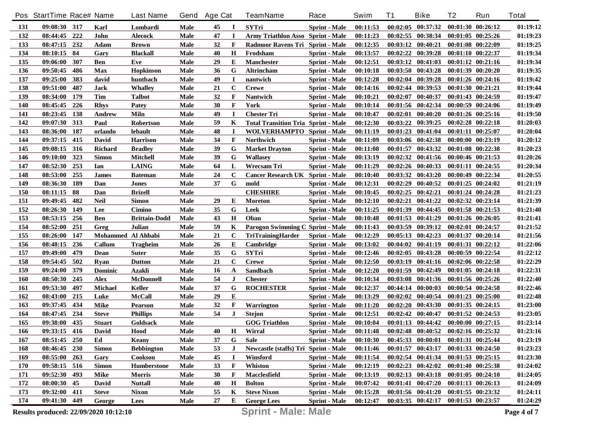|            | Pos StartTime Race# Name              |     |                    | <b>Last Name</b>     | Gend        | <b>Age Cat</b> |             | <b>TeamName</b>                            | Race                 | Swim     | T1       | <b>Bike</b>                                 | T2                    | Run                   | <b>Total</b> |
|------------|---------------------------------------|-----|--------------------|----------------------|-------------|----------------|-------------|--------------------------------------------|----------------------|----------|----------|---------------------------------------------|-----------------------|-----------------------|--------------|
| 131        | 09:08:30 317                          |     | Karl               | Lombardi             | Male        | 45             |             | <b>SYTri</b>                               | <b>Sprint - Male</b> | 00:11:53 |          | $00:02:05$ $00:37:32$                       |                       | $00:01:30$ $00:26:12$ | 01:19:12     |
| 132        | 08:44:45                              | 222 | John               | <b>Alecock</b>       | Male        | 47             | <b>I</b>    | <b>Army Triathlon Asso Sprint - Male</b>   |                      | 00:11:23 |          | $00:02:55$ $00:38:34$                       |                       | 00:01:05 00:25:26     | 01:19:23     |
| 133        | 08:47:15                              | 232 | Adam               | <b>Brown</b>         | Male        | 32             | F           | Radmoor Ravens Tri Sprint - Male           |                      | 00:12:35 |          | $00:03:12$ $00:40:21$                       |                       | $00:01:08$ $00:22:09$ | 01:19:25     |
| 134        | 08:10:15                              | -84 | Gary               | <b>Blackall</b>      | Male        | 40             | $\bf H$     | Frodsham                                   | <b>Sprint</b> - Male | 00:13:57 |          | 00:02:22 00:39:28                           |                       | 00:01:10 00:22:37     | 01:19:34     |
| 135        | 09:06:00                              | 307 | <b>Ben</b>         | Eve                  | Male        | 29             | E           | <b>Manchester</b>                          | <b>Sprint - Male</b> | 00:12:51 |          | $00:03:12$ $00:41:03$                       |                       | 00:01:12 00:21:16     | 01:19:34     |
| 136        | 09:50:45                              | 486 | <b>Max</b>         | <b>Hopkinson</b>     | Male        | 36             | G           | Altrincham                                 | <b>Sprint - Male</b> | 00:10:18 | 00:03:50 | 00:43:28                                    |                       | 00:01:39 00:20:20     | 01:19:35     |
| 137        | 09:25:00                              | 383 | david              | huntbach             | Male        | 49             | I           | nantwich                                   | <b>Sprint - Male</b> | 00:12:28 |          | 00:02:04 00:39:28                           |                       | $00:01:26$ $00:24:16$ | 01:19:42     |
| 138        | 09:51:00                              | 487 | <b>Jack</b>        | <b>Whalley</b>       | Male        | 21             | $\mathbf C$ | <b>Crewe</b>                               | <b>Sprint</b> - Male | 00:14:16 |          | 00:02:44 00:39:53                           | 00:01:30 00:21:21     |                       | 01:19:44     |
| 139        | 08:34:00                              | 179 | <b>Tim</b>         | <b>Talbot</b>        | Male        | 32             | F           | <b>Nantwich</b>                            | <b>Sprint</b> - Male | 00:10:21 | 00:02:07 | 00:40:37                                    |                       | $00:01:43$ $00:24:59$ | 01:19:47     |
| 140        | 08:45:45                              | 226 | <b>Rhys</b>        | Patey                | Male        | 30             | F           | York                                       | <b>Sprint - Male</b> | 00:10:14 |          | 00:01:56 00:42:34                           |                       | 00:00:59 00:24:06     | 01:19:49     |
| 141        | 08:23:45                              | 138 | Andrew             | Miln                 | Male        | 49             | <b>I</b>    | <b>Chester Tri</b>                         | <b>Sprint</b> - Male | 00:10:47 | 00:02:01 | 00:40:20                                    |                       | $00:01:26$ $00:25:16$ | 01:19:50     |
| 142        | 09:07:30                              | 313 | Paul               | <b>Robertson</b>     | Male        | 59             | K           | <b>Total Transition Tria Sprint - Male</b> |                      | 00:12:30 | 00:03:22 | 00:39:25                                    |                       | $00:02:28$ $00:22:18$ | 01:20:03     |
| 143        | 08:36:00                              | 187 | orlando            | lebault              | Male        | 48             | $\bf{I}$    | <b>WOLVERHAMPTO</b> Sprint - Male          |                      | 00:11:19 |          | $00:01:23$ $00:41:04$                       |                       | $00:01:11$ $00:25:07$ | 01:20:04     |
| 144        | 09:37:15                              | 415 | David              | <b>Harrison</b>      | Male        | 34             | F           | <b>Northwich</b>                           | Sprint - Male        | 00:11:09 |          | 00:03:06 00:42:38                           |                       | 00:00:00 00:23:19     | 01:20:12     |
| 145        | 09:08:15                              | 316 | <b>Richard</b>     | <b>Bradley</b>       | Male        | 39             | G           | <b>Market Drayton</b>                      | <b>Sprint - Male</b> | 00:11:08 | 00:01:57 | 00:43:32                                    |                       | $00:01:08$ $00:22:38$ | 01:20:23     |
| 146        | 09:10:00                              | 323 | <b>Simon</b>       | Mitchell             | Male        | 39             | G           | <b>Wallasey</b>                            | <b>Sprint - Male</b> | 00:13:19 | 00:02:32 | 00:41:56                                    |                       | $00:00:46$ $00:21:53$ | 01:20:26     |
| 147        | 08:52:30                              | 253 | Ian                | <b>LAING</b>         | Male        | 64             | L           | Wrecsam Tri                                | <b>Sprint - Male</b> | 00:11:29 |          | 00:02:26 00:40:33                           |                       | $00:01:11$ $00:24:55$ | 01:20:34     |
| 148        | 08:53:00                              | 255 | <b>James</b>       | <b>Bateman</b>       | Male        | 24             | $\mathbf C$ | <b>Cancer Research UK Sprint - Male</b>    |                      | 00:10:40 | 00:03:32 | 00:43:20                                    |                       | $00:00:49$ $00:22:34$ | 01:20:55     |
| 149        | 08:36:30                              | 189 | Dan                | <b>Jones</b>         | Male        | 37             | G           | mold                                       | <b>Sprint - Male</b> | 00:12:31 | 00:02:29 | 00:40:52                                    |                       | $00:01:25$ $00:24:02$ | 01:21:19     |
| 150        | 08:11:15                              | 88  | Dan                | <b>Brizell</b>       | Male        |                |             | <b>CHESHIRE</b>                            | <b>Sprint - Male</b> | 00:10:45 | 00:02:25 | 00:42:21                                    |                       | $00:01:24$ $00:24:28$ | 01:21:23     |
| 151        | 09:49:45                              | 482 | <b>Neil</b>        | Simon                | Male        | 29             | Е           | Moreton                                    | <b>Sprint - Male</b> | 00:12:10 | 00:02:21 | 00:41:22                                    |                       | 00:02:32 00:23:14     | 01:21:39     |
| 152        | 08:26:30                              | 149 | Lee                | Cimino               | Male        | 35             | G           | Leek                                       | <b>Sprint</b> - Male | 00:11:25 |          | 00:01:39 00:44:45                           |                       | 00:01:58 00:21:53     | 01:21:40     |
| 153        | 08:53:15                              | 256 | Ben                | <b>Brittain-Dodd</b> | Male        | 43             | Н           | Oban                                       | <b>Sprint - Male</b> | 00:10:48 |          | $00:01:53$ $00:41:29$                       |                       | $00:01:26$ $00:26:05$ | 01:21:41     |
| 154        | 08:52:00                              | 251 | Greg               | Julian               | Male        | 59             | K           | Parogon Swimming C Sprint - Male           |                      | 00:11:43 | 00:03:59 | 00:39:12                                    |                       | $00:02:01$ $00:24:57$ | 01:21:52     |
| 155        | 08:26:00                              | 147 | Mohammed Al Ahbabi |                      | Male        | 21             | $\mathbf C$ | <b>TriTrainingHarder</b>                   | <b>Sprint - Male</b> | 00:12:29 |          | $00:05:13$ $00:42:23$                       |                       | 00:01:37 00:20:14     | 01:21:56     |
| 156        | 08:48:15                              | 236 | Callum             | <b>Tragheim</b>      | Male        | 26             | E           | Cambridge                                  | <b>Sprint</b> - Male | 00:13:02 |          | 00:04:02 00:41:19                           |                       | $00:01:31$ $00:22:12$ | 01:22:06     |
| 157        | 09:49:00                              | 479 | Dean               | <b>Suter</b>         | Male        | 35             | G           | <b>SYTri</b>                               | <b>Sprint - Male</b> | 00:12:46 | 00:02:05 | 00:43:28                                    |                       | 00:00:59 00:22:54     | 01:22:12     |
| 158        | 09:54:45                              | 502 | Rvan               | <b>Dutton</b>        | Male        | 21             | $\mathbf C$ | <b>Crewe</b>                               | <b>Sprint</b> - Male | 00:12:50 |          | 00:03:19 00:41:16                           |                       | $00:02:06$ $00:22:58$ | 01:22:29     |
| 159        | 09:24:00                              | 379 | <b>Dominic</b>     | Azakli               | Male        | 16             | A           | Sandbach                                   | <b>Sprint</b> - Male | 00:12:20 | 00:01:59 | 00:42:49                                    |                       | $00:01:05$ $00:24:18$ | 01:22:31     |
| <b>160</b> | 08:50:30                              | 245 | Alex               | <b>McDonnell</b>     | Male        | 54             | J           | <b>Chester</b>                             | <b>Sprint</b> - Male | 00:10:34 | 00:03:08 | 00:41:36                                    |                       | $00:01:56$ $00:25:26$ | 01:22:40     |
| 161        | 09:53:30                              | 497 | Michael            | <b>Keller</b>        | Male        | 37             | G           | <b>ROCHESTER</b>                           | <b>Sprint - Male</b> | 00:12:37 |          | $00:44:14$ $00:00:03$                       |                       | $00:00:54$ $00:24:58$ | 01:22:46     |
| 162        | 08:43:00                              | 215 | Luke               | <b>McCall</b>        | Male        | 29             | E           |                                            | <b>Sprint - Male</b> | 00:13:29 |          | $00:02:02$ $00:40:54$                       |                       | $00:01:23$ $00:25:00$ | 01:22:48     |
| 163        | 09:37:45                              | 434 | <b>Mike</b>        | <b>Pearson</b>       | Male        | 32             | F           | Warrington                                 | <b>Sprint - Male</b> | 00:11:20 | 00:02:20 | 00:43:30                                    |                       | $00:01:35$ $00:24:15$ | 01:23:00     |
| 164        | 08:47:45                              | 234 | <b>Steve</b>       | <b>Phillips</b>      | Male        | 54             | $\bf J$     | <b>Stejon</b>                              | <b>Sprint</b> - Male | 00:12:51 |          | 00:02:42 00:40:47                           |                       | $00:01:52$ $00:24:53$ | 01:23:05     |
| 165        | 09:38:00                              | 435 | <b>Stuart</b>      | <b>Goldsack</b>      | Male        |                |             | <b>GOG Triathlon</b>                       | <b>Sprint</b> - Male | 00:10:04 |          | $00:01:13$ $00:44:42$                       | $00:00:00$ $00:27:15$ |                       | 01:23:14     |
| 166        | 09:33:15 416                          |     | David              | Hood                 | Male        | 40             | H           | Wirral                                     | <b>Sprint - Male</b> | 00:11:48 |          | 00:02:48 00:40:52 00:02:16 00:25:32         |                       |                       | 01:23:16     |
| 167        | 08:51:45 250                          |     | Ed                 | Keany                | Male        | 37             | G           | Sale                                       | <b>Sprint - Male</b> | 00:10:30 |          | 00:45:33 00:00:01 00:01:31 00:25:44         |                       |                       | 01:23:19     |
| 168        | 08:46:45 230                          |     | <b>Simon</b>       | <b>Bebbington</b>    | <b>Male</b> | 53             | J.          | Newcastle (staffs) Tri Sprint - Male       |                      | 00:11:46 |          | 00:01:57 00:43:17 00:01:33 00:24:50         |                       |                       | 01:23:23     |
| 169        | 08:55:00 263                          |     | Gary               | Cookson              | <b>Male</b> | 45             | -1          | Winsford                                   | <b>Sprint - Male</b> | 00:11:54 |          | 00:02:54 00:41:34 00:01:53 00:25:15         |                       |                       | 01:23:30     |
| 170        | 09:58:15 516                          |     | <b>Simon</b>       | <b>Humberstone</b>   | Male        | 33             | F           | Whiston                                    | <b>Sprint - Male</b> | 00:12:19 |          | $00:02:23$ $00:42:02$ $00:01:40$ $00:25:38$ |                       |                       | 01:24:02     |
| 171        | 09:52:30                              | 493 | Mike               | <b>Morris</b>        | Male        | 30             | F           | Macclesfield                               | <b>Sprint - Male</b> | 00:13:19 |          | $00:02:13$ $00:43:18$ $00:01:05$ $00:24:10$ |                       |                       | 01:24:05     |
| 172        | 08:00:30                              | 45  | David              | <b>Nuttall</b>       | Male        | 40             | H           | <b>Bolton</b>                              | <b>Sprint - Male</b> | 00:07:42 |          | 00:01:41 00:47:20 00:01:13 00:26:13         |                       |                       | 01:24:09     |
| 173        | 09:32:00                              | 411 | <b>Steve</b>       | <b>Nixon</b>         | Male        | 55             | K           | <b>Steve Nixon</b>                         | Sprint - Male        | 00:15:28 |          | 00:01:56 00:41:20 00:01:55 00:23:32         |                       |                       | 01:24:11     |
| 174        | 09:41:30 449                          |     | George             | Lees                 | Male        | 27             | E           | <b>George Lees</b>                         | <b>Sprint - Male</b> | 00:12:47 |          | 00:03:35 00:42:17 00:01:53 00:23:57         |                       |                       | 01:24:29     |
|            | Results produced: 22/09/2020 10:12:10 |     |                    |                      |             |                |             | <b>Sprint - Male: Male</b>                 |                      |          |          |                                             |                       |                       | Page 4 of 7  |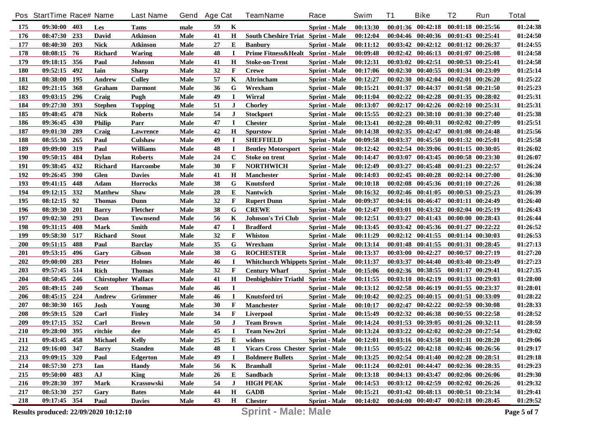|            | Pos StartTime Race# Name |     |                                       | <b>Last Name</b> | Gend        | <b>Age Cat</b> |              | <b>TeamName</b>                           | Race                 | Swim     | T1       | <b>Bike</b>                                 | T2                    | Run                   | <b>Total</b> |
|------------|--------------------------|-----|---------------------------------------|------------------|-------------|----------------|--------------|-------------------------------------------|----------------------|----------|----------|---------------------------------------------|-----------------------|-----------------------|--------------|
| 175        | 09:30:00                 | 403 | Les                                   | Tams             | male        | 59             | K            |                                           | <b>Sprint - Male</b> | 00:13:30 |          | $00:01:36$ $00:42:18$                       |                       | 00:01:18 00:25:56     | 01:24:38     |
| 176        | 08:47:30                 | 233 | <b>David</b>                          | <b>Atkinson</b>  | Male        | 41             | H            | <b>South Cheshire Triat Sprint - Male</b> |                      | 00:12:04 |          | 00:04:46 00:40:36                           | 00:01:43 00:25:41     |                       | 01:24:50     |
| 177        | 08:40:30                 | 203 | <b>Nick</b>                           | <b>Atkinson</b>  | Male        | 27             | Е            | <b>Banbury</b>                            | <b>Sprint - Male</b> | 00:11:12 |          | $00:03:42$ $00:42:12$                       | 00:01:12 00:26:37     |                       | 01:24:55     |
| 178        | 08:08:15                 | 76  | Richard                               | <b>Waring</b>    | Male        | 48             | $\mathbf I$  | Prime Fitness&Healt Sprint - Male         |                      | 00:09:48 |          | $00:02:42$ $00:46:13$                       |                       | 00:01:07 00:25:08     | 01:24:58     |
| 179        | 09:18:15                 | 356 | Paul                                  | <b>Johnson</b>   | Male        | 41             | H            | <b>Stoke-on-Trent</b>                     | <b>Sprint - Male</b> | 00:12:31 |          | $00:03:02$ $00:42:51$                       | 00:00:53 00:25:41     |                       | 01:24:58     |
| <b>180</b> | 09:52:15                 | 492 | <b>Iain</b>                           | <b>Sharp</b>     | Male        | 32             | F            | <b>Crewe</b>                              | <b>Sprint - Male</b> | 00:17:06 | 00:02:30 | 00:40:55                                    |                       | 00:01:34 00:23:09     | 01:25:14     |
| 181        | 08:38:00                 | 195 | Andrew                                | <b>Culley</b>    | Male        | 57             | K            | <b>Altrincham</b>                         | <b>Sprint - Male</b> | 00:12:27 | 00:02:30 | 00:42:04                                    |                       | 00:02:01 00:26:20     | 01:25:22     |
| 182        | 09:21:15                 | 368 | Graham                                | <b>Darmont</b>   | Male        | 36             | G            | Wrexham                                   | <b>Sprint - Male</b> | 00:15:21 | 00:01:37 | 00:44:37                                    |                       | 00:01:58 00:21:50     | 01:25:23     |
| 183        | 09:03:15                 | 296 | Craig                                 | Pugh             | Male        | 49             | $\bf{I}$     | Wirral                                    | Sprint - Male        | 00:11:04 | 00:02:22 | 00:42:28                                    |                       | $00:01:35$ $00:28:02$ | 01:25:31     |
| 184        | 09:27:30                 | 393 | <b>Stephen</b>                        | <b>Topping</b>   | Male        | 51             | J            | <b>Chorley</b>                            | <b>Sprint - Male</b> | 00:13:07 | 00:02:17 | 00:42:26                                    |                       | $00:02:10$ $00:25:31$ | 01:25:31     |
| 185        | 09:48:45                 | 478 | <b>Nick</b>                           | <b>Roberts</b>   | Male        | 54             | J            | <b>Stockport</b>                          | <b>Sprint - Male</b> | 00:15:55 | 00:02:23 | 00:38:10                                    |                       | $00:01:30$ $00:27:40$ | 01:25:38     |
| 186        | 09:36:45                 | 430 | <b>Philip</b>                         | Parr             | Male        | 47             | $\mathbf I$  | <b>Chester</b>                            | <b>Sprint - Male</b> | 00:13:41 |          | $00:02:28$ $00:40:31$                       |                       | $00:02:02$ $00:27:09$ | 01:25:51     |
| 187        | 09:01:30                 | 289 | Craig                                 | Lawrence         | Male        | 42             | H            | <b>Spurstow</b>                           | <b>Sprint - Male</b> | 00:14:38 |          | $00:02:35$ $00:42:47$                       |                       | $00:01:08$ $00:24:48$ | 01:25:56     |
| 188        | 08:55:30                 | 265 | Paul                                  | Culshaw          | Male        | 49             | I            | <b>SHEFFIELD</b>                          | <b>Sprint - Male</b> | 00:09:58 | 00:03:37 | 00:45:50                                    | 00:01:32 00:25:01     |                       | 01:25:58     |
| 189        | 09:09:00                 | 319 | Paul                                  | <b>Williams</b>  | Male        | 48             | I            | <b>Bentley Motorsport</b>                 | <b>Sprint - Male</b> | 00:12:42 |          | 00:02:54 00:39:06                           |                       | $00:01:15$ $00:30:05$ | 01:26:02     |
| <b>190</b> | 09:50:15                 | 484 | Dylan                                 | <b>Roberts</b>   | Male        | 24             | $\mathbf C$  | <b>Stoke on trent</b>                     | <b>Sprint - Male</b> | 00:14:47 | 00:03:07 | 00:43:45                                    |                       | 00:00:58 00:23:30     | 01:26:07     |
| 191        | 09:38:45                 | 432 | <b>Richard</b>                        | <b>Harcombe</b>  | Male        | 30             | F            | <b>NORTHWICH</b>                          | <b>Sprint - Male</b> | 00:12:49 | 00:03:27 | 00:45:48                                    |                       | $00:01:23$ $00:22:57$ | 01:26:24     |
| 192        | 09:26:45                 | 390 | Glen                                  | <b>Davies</b>    | Male        | 41             | H            | <b>Manchester</b>                         | <b>Sprint - Male</b> | 00:14:03 |          | $00:02:45$ $00:40:28$                       |                       | $00:02:14$ $00:27:00$ | 01:26:30     |
| 193        | 09:41:15                 | 448 | Adam                                  | <b>Horrocks</b>  | Male        | 38             | G            | Knutsford                                 | <b>Sprint - Male</b> | 00:10:18 |          | 00:02:08 00:45:36                           |                       | 00:01:10 00:27:26     | 01:26:38     |
| 194        | 09:12:15                 | 332 | <b>Matthew</b>                        | <b>Shaw</b>      | Male        | 28             | Е            | Nantwich                                  | <b>Sprint</b> - Male | 00:16:32 |          | 00:02:46 00:41:05                           |                       | 00:00:53 00:25:23     | 01:26:39     |
| 195        | 08:12:15                 | 92  | <b>Thomas</b>                         | Dunn             | Male        | 32             | F            | <b>Rupert Dunn</b>                        | <b>Sprint - Male</b> | 00:09:37 |          | 00:04:16 00:46:47                           |                       | 00:01:11 00:24:49     | 01:26:40     |
| 196        | 08:39:30                 | 201 | <b>Barry</b>                          | <b>Fletcher</b>  | Male        | 38             | G            | <b>CREWE</b>                              | <b>Sprint</b> - Male | 00:12:47 | 00:03:01 | 00:43:32                                    |                       | $00:02:04$ $00:25:19$ | 01:26:43     |
| 197        | 09:02:30                 | 293 | Dean                                  | <b>Townsend</b>  | Male        | 56             | K            | Johnson's Tri Club                        | <b>Sprint</b> - Male | 00:12:51 | 00:03:27 | 00:41:43                                    |                       | 00:00:00 00:28:43     | 01:26:44     |
| 198        | 09:31:15                 | 408 | Mark                                  | Smith            | Male        | 47             | $\mathbf I$  | <b>Bradford</b>                           | <b>Sprint</b> - Male | 00:13:45 |          | 00:03:42 00:45:36                           |                       | $00:01:27$ $00:22:22$ | 01:26:52     |
| 199        | 09:58:30                 | 517 | <b>Richard</b>                        | <b>Stout</b>     | Male        | 32             | F            | Whiston                                   | <b>Sprint - Male</b> | 00:11:29 |          | $00:02:12$ $00:41:55$                       |                       | 00:01:14 00:30:03     | 01:26:53     |
| <b>200</b> | 09:51:15                 | 488 | Paul                                  | <b>Barclay</b>   | Male        | 35             | G            | Wrexham                                   | <b>Sprint</b> - Male | 00:13:14 |          | 00:01:48 00:41:55                           |                       | 00:01:31 00:28:45     | 01:27:13     |
| 201        | 09:53:15                 | 496 | Gary                                  | <b>Gibson</b>    | Male        | 38             | G            | <b>ROCHESTER</b>                          | <b>Sprint - Male</b> | 00:13:37 | 00:03:00 | 00:42:27                                    |                       | 00:00:57 00:27:19     | 01:27:20     |
| 202        | 09:00:00                 | 283 | Peter                                 | <b>Holmes</b>    | Male        | 46             | $\bf{I}$     | <b>Whitchurch Whippets Sprint - Male</b>  |                      | 00:11:37 | 00:03:37 | 00:44:40                                    |                       | 00:03:40 00:23:49     | 01:27:23     |
| 203        | 09:57:45                 | 514 | <b>Rich</b>                           | <b>Thomas</b>    | Male        | 32             | $\mathbf{F}$ | <b>Century Wharf</b>                      | <b>Sprint</b> - Male | 00:15:06 |          | 00:02:36 00:38:55                           | 00:01:17 00:29:41     |                       | 01:27:35     |
| 204        | 08:50:45                 | 246 | <b>Chirstopher Wallace</b>            |                  | Male        | 41             | $\bf H$      | Denbighshire Triathl Sprint - Male        |                      | 00:11:55 |          | 00:03:10 00:42:19                           |                       | 00:01:33 00:29:03     | 01:28:00     |
| 205        | 08:49:15                 | 240 | <b>Scott</b>                          | <b>Thomas</b>    | Male        | 46             | $\bf{I}$     |                                           | <b>Sprint - Male</b> | 00:13:12 | 00:02:58 | 00:46:19                                    |                       | 00:01:55 00:23:37     | 01:28:01     |
| 206        | 08:45:15                 | 224 | <b>Andrew</b>                         | <b>Grimmer</b>   | Male        | 46             | <b>I</b>     | Knutsford tri                             | <b>Sprint - Male</b> | 00:10:42 | 00:02:25 | 00:40:15                                    |                       | 00:01:51 00:33:09     | 01:28:22     |
| 207        | 08:30:30                 | 165 | Josh                                  | Young            | Male        | 30             | F            | <b>Manchester</b>                         | <b>Sprint - Male</b> | 00:10:17 | 00:02:47 | 00:42:22                                    |                       | 00:02:59 00:30:08     | 01:28:33     |
| 208        | 09:59:15                 | 520 | Carl                                  | <b>Finley</b>    | Male        | 34             | F            | <b>Liverpool</b>                          | <b>Sprint</b> - Male | 00:15:49 |          | 00:02:32 00:46:38                           |                       | $00:00:55$ $00:22:58$ | 01:28:52     |
| 209        | 09:17:15                 | 352 | Carl                                  | <b>Brown</b>     | Male        | 50             | $\bf J$      | <b>Team Brown</b>                         | <b>Sprint - Male</b> | 00:14:24 |          | 00:01:53 00:39:05                           | 00:01:26 00:32:11     |                       | 01:28:59     |
| 210        | 09:28:00 395             |     | ritchie                               | dee              | Male        | 45             |              | <b>Team New2tri</b>                       | <b>Sprint - Male</b> | 00:13:24 |          | $00:03:22$ $00:42:02$ $00:02:20$ $00:27:54$ |                       |                       | 01:29:02     |
| 211        | 09:43:45 458             |     | Michael                               | <b>Kelly</b>     | Male        | 25             | E            | widnes                                    | <b>Sprint - Male</b> | 00:12:01 |          | 00:03:16 00:43:58 00:01:31 00:28:20         |                       |                       | 01:29:06     |
| 212        | 09:16:00 347             |     | <b>Barry</b>                          | <b>Standen</b>   | <b>Male</b> | 48             |              | Vicars Cross Chester Sprint - Male        |                      | 00:11:55 |          | $00:05:22$ $00:42:18$ $00:02:46$ $00:26:56$ |                       |                       | 01:29:17     |
| 213        | 09:09:15 320             |     | Paul                                  | <b>Edgerton</b>  | Male        | 49             | П            | <b>Boldmere Bullets</b>                   | <b>Sprint - Male</b> | 00:13:25 |          | 00:02:54 00:41:40 00:02:28 00:28:51         |                       |                       | 01:29:18     |
| 214        | 08:57:30 273             |     | Ian                                   | <b>Handy</b>     | Male        | 56             | K            | <b>Bramhall</b>                           | <b>Sprint - Male</b> | 00:11:24 |          | 00:02:01 00:44:47 00:02:36 00:28:35         |                       |                       | 01:29:23     |
| 215        | 09:50:00                 | 483 | AJ                                    | <b>King</b>      | Male        | 26             | E            | Sandbach                                  | <b>Sprint - Male</b> | 00:13:18 |          | 00:04:13 00:43:47                           |                       | $00:02:06$ $00:26:06$ | 01:29:30     |
| 216        | 09:28:30 397             |     | Mark                                  | Krassowski       | Male        | 54             | J            | <b>HIGH PEAK</b>                          | <b>Sprint - Male</b> | 00:14:53 |          | $00:03:12$ $00:42:59$                       | $00:02:02$ $00:26:26$ |                       | 01:29:32     |
| 217        | 08:53:30 257             |     | Gary                                  | <b>Bates</b>     | Male        | 44             | $\mathbf H$  | <b>GADB</b>                               | Sprint - Male        | 00:15:21 |          | 00:01:42 00:48:13 00:00:51 00:23:34         |                       |                       | 01:29:41     |
| 218        | 09:17:45 354             |     | Paul                                  | <b>Davies</b>    | Male        | 43             | $\mathbf{H}$ | <b>Chester</b>                            | <b>Sprint - Male</b> | 00:14:02 |          | $00:04:00$ $00:40:47$ $00:02:18$ $00:28:45$ |                       |                       | 01:29:52     |
|            |                          |     | Results produced: 22/09/2020 10:12:10 |                  |             |                |              | <b>Sprint - Male: Male</b>                |                      |          |          |                                             |                       |                       | Page 5 of 7  |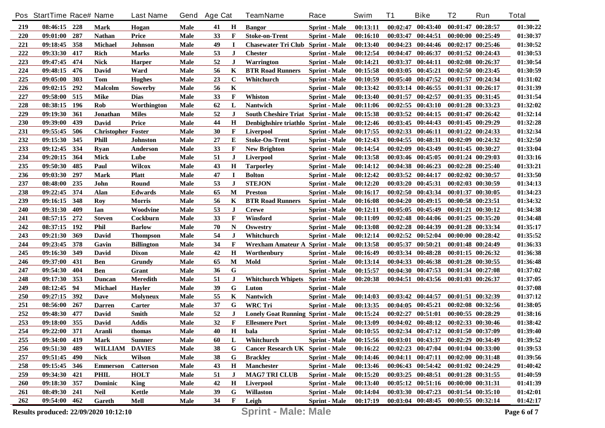|     | Pos StartTime Race# Name |     |                                       | <b>Last Name</b>  | Gend        | <b>Age Cat</b> |              | <b>TeamName</b>                           | Race                 | Swim     | T1       | <b>Bike</b>                                 | T <sub>2</sub>        | Run                   | <b>Total</b> |
|-----|--------------------------|-----|---------------------------------------|-------------------|-------------|----------------|--------------|-------------------------------------------|----------------------|----------|----------|---------------------------------------------|-----------------------|-----------------------|--------------|
| 219 | 08:46:15 228             |     | <b>Mark</b>                           | Hogan             | Male        | 41             | Н            | <b>Bangor</b>                             | <b>Sprint - Male</b> | 00:13:11 | 00:02:47 | 00:43:40                                    |                       | 00:01:47 00:28:57     | 01:30:22     |
| 220 | 09:01:00                 | 287 | <b>Nathan</b>                         | Price             | Male        | 33             | F            | <b>Stoke-on-Trent</b>                     | <b>Sprint - Male</b> | 00:16:10 | 00:03:47 | 00:44:51                                    |                       | 00:00:00 00:25:49     | 01:30:37     |
| 221 | 09:18:45                 | 358 | Michael                               | <b>Johnson</b>    | Male        | 49             | $\mathbf I$  | <b>Chasewater Tri Club Sprint - Male</b>  |                      | 00:13:40 |          | $00:04:23$ $00:44:46$                       |                       | $00:02:17$ $00:25:46$ | 01:30:52     |
| 222 | 09:33:30                 | 417 | <b>Rich</b>                           | <b>Marks</b>      | Male        | 53             | $\bf J$      | <b>Chester</b>                            | <b>Sprint</b> - Male | 00:12:54 | 00:04:47 | 00:46:37                                    | $00:01:52$ $00:24:43$ |                       | 01:30:53     |
| 223 | 09:47:45                 | 474 | <b>Nick</b>                           | <b>Harper</b>     | Male        | 52             | J            | Warrington                                | <b>Sprint - Male</b> | 00:14:21 | 00:03:37 | 00:44:11                                    |                       | 00:02:08 00:26:37     | 01:30:54     |
| 224 | 09:48:15                 | 476 | <b>David</b>                          | Ward              | Male        | 56             | K            | <b>BTR Road Runners</b>                   | <b>Sprint - Male</b> | 00:15:58 |          | $00:03:05$ $00:45:21$                       |                       | 00:02:50 00:23:45     | 01:30:59     |
| 225 | 09:05:00                 | 303 | Tom                                   | <b>Hughes</b>     | Male        | 23             | $\mathbf C$  | Whitchurch                                | <b>Sprint - Male</b> | 00:10:59 | 00:05:40 | 00:47:52                                    |                       | 00:01:57 00:24:34     | 01:31:02     |
| 226 | 09:02:15                 | 292 | <b>Malcolm</b>                        | Sowerby           | Male        | 56             | K            |                                           | <b>Sprint - Male</b> | 00:13:42 |          | $00:03:14$ $00:46:55$                       |                       | 00:01:31 00:26:17     | 01:31:39     |
| 227 | 09:58:00                 | 515 | <b>Mike</b>                           | <b>Dias</b>       | Male        | 33             | F            | Whiston                                   | <b>Sprint</b> - Male | 00:13:40 | 00:01:57 | 00:42:57                                    |                       | $00:01:35$ $00:31:45$ | 01:31:54     |
| 228 | 08:38:15                 | 196 | Rob                                   | Worthington       | Male        | 62             | L            | <b>Nantwich</b>                           | <b>Sprint - Male</b> | 00:11:06 | 00:02:55 | 00:43:10                                    |                       | 00:01:28 00:33:23     | 01:32:02     |
| 229 | 09:19:30                 | 361 | Jonathan                              | <b>Miles</b>      | Male        | 52             | J            | <b>South Cheshire Triat Sprint - Male</b> |                      | 00:15:38 | 00:03:52 | 00:44:15                                    |                       | $00:01:47$ $00:26:42$ | 01:32:14     |
| 230 | 09:39:00                 | 439 | <b>David</b>                          | Price             | Male        | 44             | H            | Denbighshire triathlo Sprint - Male       |                      | 00:12:46 |          | $00:03:45$ $00:44:43$                       |                       | $00:01:45$ $00:29:29$ | 01:32:28     |
| 231 | 09:55:45                 | 506 | <b>Christopher Foster</b>             |                   | Male        | 30             | F            | <b>Liverpool</b>                          | Sprint - Male        | 00:17:55 |          | $00:02:33$ $00:46:11$                       |                       | $00:01:22$ $00:24:33$ | 01:32:34     |
| 232 | 09:15:30                 | 345 | Phill                                 | <b>Johnston</b>   | Male        | 27             | Е            | <b>Stoke-On-Trent</b>                     | <b>Sprint - Male</b> | 00:12:43 | 00:04:55 | 00:48:31                                    |                       | $00:02:09$ $00:24:32$ | 01:32:50     |
| 233 | 09:12:45                 | 334 | Rvan                                  | Anderson          | Male        | 33             | F            | <b>New Brighton</b>                       | <b>Sprint - Male</b> | 00:14:54 | 00:02:09 | 00:43:49                                    |                       | $00:01:45$ $00:30:27$ | 01:33:04     |
| 234 | 09:20:15                 | 364 | Mick                                  | Lube              | Male        | 51             | J            | <b>Liverpool</b>                          | <b>Sprint - Male</b> | 00:13:58 |          | $00:03:46$ $00:45:05$                       |                       | $00:01:24$ $00:29:03$ | 01:33:16     |
| 235 | 09:50:30                 | 485 | Paul                                  | <b>Wilcox</b>     | Male        | 43             | Н            | <b>Tarporley</b>                          | <b>Sprint - Male</b> | 00:14:12 |          | 00:04:38 00:46:23                           |                       | $00:02:28$ $00:25:40$ | 01:33:21     |
| 236 | 09:03:30                 | 297 | Mark                                  | <b>Platt</b>      | Male        | 47             | $\mathbf I$  | <b>Bolton</b>                             | Sprint - Male        | 00:12:42 | 00:03:52 | 00:44:17                                    |                       | $00:02:02$ $00:30:57$ | 01:33:50     |
| 237 | 08:48:00                 | 235 | John                                  | Round             | Male        | 53             | $\bf J$      | <b>STEJON</b>                             | <b>Sprint - Male</b> | 00:12:20 |          | 00:03:20 00:45:31                           |                       | 00:02:03 00:30:59     | 01:34:13     |
| 238 | 09:22:45                 | 374 | Alan                                  | Edwards           | Male        | 65             | M            | <b>Preston</b>                            | <b>Sprint - Male</b> | 00:16:17 |          | 00:02:50 00:43:34                           |                       | 00:01:37 00:30:05     | 01:34:23     |
| 239 | 09:16:15                 | 348 | Roy                                   | <b>Morris</b>     | Male        | 56             | K            | <b>BTR Road Runners</b>                   | <b>Sprint - Male</b> | 00:16:08 | 00:04:20 | 00:49:15                                    | 00:00:58 00:23:51     |                       | 01:34:32     |
| 240 | 09:31:30                 | 409 | Ian                                   | Woodvine          | Male        | 53             | J            | <b>Crewe</b>                              | <b>Sprint</b> - Male | 00:12:11 |          | 00:05:05 00:45:49                           |                       | 00:01:21 00:30:12     | 01:34:38     |
| 241 | 08:57:15                 | 272 | <b>Steven</b>                         | Cockburn          | Male        | 33             | F            | Winsford                                  | <b>Sprint</b> - Male | 00:11:09 |          | $00:02:48$ $00:44:06$                       |                       | $00:01:25$ $00:35:20$ | 01:34:48     |
| 242 | 08:37:15                 | 192 | <b>Phil</b>                           | <b>Barlow</b>     | Male        | 70             | N            | <b>Oswestry</b>                           | <b>Sprint - Male</b> | 00:13:08 |          | 00:02:28 00:44:39                           |                       | 00:01:28 00:33:34     | 01:35:17     |
| 243 | 09:21:30                 | 369 | David                                 | <b>Thompson</b>   | Male        | 54             | J            | Whitchurch                                | <b>Sprint - Male</b> | 00:12:14 |          | 00:02:52 00:52:04                           |                       | $00:00:00$ $00:28:42$ | 01:35:52     |
| 244 | 09:23:45                 | 378 | Gavin                                 | <b>Billington</b> | Male        | 34             | F            | Wrexham Amateur A Sprint - Male           |                      | 00:13:58 | 00:05:37 | 00:50:21                                    |                       | 00:01:48 00:24:49     | 01:36:33     |
| 245 | 09:16:30                 | 349 | David                                 | <b>Dixon</b>      | Male        | 42             | Н            | Worthenbury                               | <b>Sprint - Male</b> | 00:16:49 |          | 00:03:34 00:48:28                           |                       | $00:01:15$ $00:26:32$ | 01:36:38     |
| 246 | 09:37:00                 | 431 | Ben                                   | Grundy            | Male        | 65             | M            | Mold                                      | <b>Sprint</b> - Male | 00:13:14 |          | 00:04:33 00:46:38                           |                       | 00:01:28 00:30:55     | 01:36:48     |
| 247 | 09:54:30                 | 404 | Ben                                   | Grant             | Male        | 36             | G            |                                           | <b>Sprint - Male</b> | 00:15:57 |          | 00:04:30 00:47:53                           |                       | 00:01:34 00:27:08     | 01:37:02     |
| 248 | 09:17:30                 | 353 | Duncan                                | <b>Meredith</b>   | Male        | 51             | $\bf J$      | Whitchurch Whipets Sprint - Male          |                      | 00:20:38 |          | $00:04:51$ $00:43:56$                       | $00:01:03$ $00:26:37$ |                       | 01:37:05     |
| 249 | 08:12:45                 | 94  | Michael                               | <b>Hayler</b>     | Male        | 39             | G            | Luton                                     | <b>Sprint - Male</b> |          |          |                                             |                       |                       | 01:37:08     |
| 250 | 09:27:15                 | 392 | Dave                                  | <b>Molyneux</b>   | Male        | 55             | K            | <b>Nantwich</b>                           | <b>Sprint</b> - Male | 00:14:03 |          | $00:03:42$ $00:44:57$                       |                       | 00:01:51 00:32:39     | 01:37:12     |
| 251 | 08:56:00                 | 267 | <b>Darren</b>                         | Carter            | Male        | 37             | G            | <b>WRC</b> Tri                            | <b>Sprint - Male</b> | 00:13:35 |          | $00:04:05$ $00:45:21$                       |                       | 00:02:08 00:32:56     | 01:38:05     |
| 252 | 09:48:30                 | 477 | David                                 | Smith             | Male        | 52             | $\bf J$      | <b>Lonely Goat Running Sprint - Male</b>  |                      | 00:15:24 | 00:02:27 | 00:51:01                                    |                       | 00:00:55 00:28:29     | 01:38:16     |
| 253 | 09:18:00                 | 355 | David                                 | <b>Addis</b>      | Male        | 32             | F            | <b>Ellesmere Port</b>                     | <b>Sprint - Male</b> | 00:13:09 |          | $00:04:02$ $00:48:12$                       |                       | 00:02:33 00:30:46     | 01:38:42     |
| 254 | 09:22:00 371             |     | <b>Aranli</b>                         | thomas            | Male        | 40             | $\mathbf H$  | bala                                      | <b>Sprint - Male</b> | 00:10:55 |          | 00:02:34 00:47:12 00:01:50 00:37:09         |                       |                       | 01:39:40     |
| 255 | 09:34:00 419             |     | Mark                                  | <b>Sumner</b>     | Male        | 60             | L            | Whitchurch                                | <b>Sprint - Male</b> | 00:15:56 |          | 00:03:01 00:43:37 00:02:29 00:34:49         |                       |                       | 01:39:52     |
| 256 | 09:51:30                 | 489 | WILLIAM DAVIES                        |                   | <b>Male</b> | 38             | G            | Cancer Research UK Sprint - Male          |                      | 00:16:22 |          | 00:02:23 00:47:04 00:01:04 00:33:00         |                       |                       | 01:39:53     |
| 257 | 09:51:45 490             |     | <b>Nick</b>                           | <b>Wilson</b>     | Male        | 38             | G            | <b>Brackley</b>                           | <b>Sprint - Male</b> | 00:14:46 |          | 00:04:11 00:47:11 00:02:00 00:31:48         |                       |                       | 01:39:56     |
| 258 | 09:15:45 346             |     | <b>Emmerson</b>                       | <b>Catterson</b>  | Male        | 43             | $\mathbf H$  | <b>Manchester</b>                         | <b>Sprint - Male</b> | 00:13:46 |          | 00:06:43 00:54:42 00:01:02 00:24:29         |                       |                       | 01:40:42     |
| 259 | 09:34:30                 | 421 | <b>PHIL</b>                           | <b>HOLT</b>       | Male        | 51             | J            | <b>MAG7 TRI CLUB</b>                      | <b>Sprint - Male</b> | 00:15:20 |          | $00:03:25$ $00:48:51$ $00:01:28$ $00:31:55$ |                       |                       | 01:40:59     |
| 260 | 09:18:30 357             |     | <b>Dominic</b>                        | <b>King</b>       | Male        | 42             | H            | Liverpool                                 | <b>Sprint - Male</b> | 00:13:40 |          | 00:05:12 00:51:16 00:00:00 00:31:31         |                       |                       | 01:41:39     |
| 261 | 08:49:30 241             |     | <b>Neil</b>                           | Kettle            | Male        | 39             | G            | <b>Willaston</b>                          | Sprint - Male        | 00:14:04 |          | 00:03:30 00:47:23 00:01:54 00:35:10         |                       |                       | 01:42:01     |
| 262 | 09:54:00 462             |     | Gareth                                | Mell              | Male        | 34             | $\mathbf{F}$ | Leigh                                     | <b>Sprint - Male</b> | 00:17:19 |          | 00:03:04 00:48:45 00:00:55 00:32:14         |                       |                       | 01:42:17     |
|     |                          |     | Results produced: 22/09/2020 10:12:10 |                   |             |                |              | <b>Sprint - Male: Male</b>                |                      |          |          |                                             |                       |                       | Page 6 of 7  |